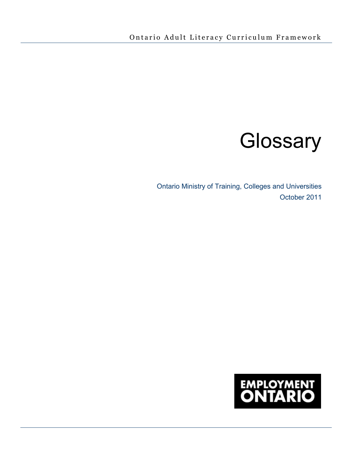# **Glossary**

Ontario Ministry of Training, Colleges and Universities October 2011

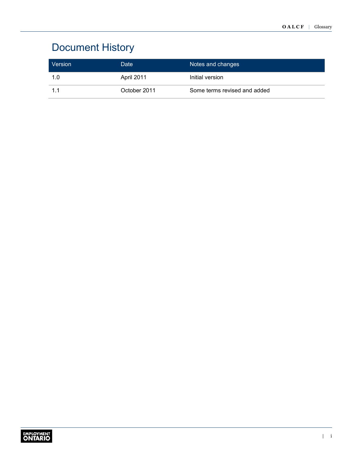# Document History

| Version | Date         | Notes and changes            |
|---------|--------------|------------------------------|
| 1.0     | April 2011   | Initial version              |
|         | October 2011 | Some terms revised and added |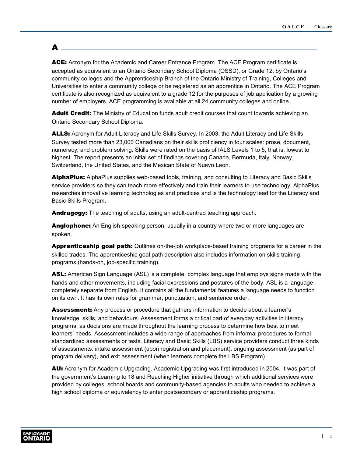## $\blacktriangle$  .

ACE: Acronym for the Academic and Career Entrance Program. The ACE Program certificate is accepted as equivalent to an Ontario Secondary School Diploma (OSSD), or Grade 12, by Ontario's community colleges and the Apprenticeship Branch of the Ontario Ministry of Training, Colleges and Universities to enter a community college or be registered as an apprentice in Ontario. The ACE Program certificate is also recognized as equivalent to a grade 12 for the purposes of job application by a growing number of employers. ACE programming is available at all 24 community colleges and online.

Adult Credit: The Ministry of Education funds adult credit courses that count towards achieving an Ontario Secondary School Diploma.

**ALLS:** Acronym for Adult Literacy and Life Skills Survey. In 2003, the Adult Literacy and Life Skills Survey tested more than 23,000 Canadians on their skills proficiency in four scales: prose, document, numeracy, and problem solving. Skills were rated on the basis of IALS Levels 1 to 5, that is, lowest to highest. The report presents an initial set of findings covering Canada, Bermuda, Italy, Norway, Switzerland, the United States, and the Mexican State of Nuevo Leon.

AlphaPlus: AlphaPlus supplies web-based tools, training, and consulting to Literacy and Basic Skills service providers so they can teach more effectively and train their learners to use technology. AlphaPlus researches innovative learning technologies and practices and is the technology lead for the Literacy and Basic Skills Program.

Andragogy: The teaching of adults, using an adult-centred teaching approach.

Anglophone: An English-speaking person, usually in a country where two or more languages are spoken.

**Apprenticeship goal path:** Outlines on-the-job workplace-based training programs for a career in the skilled trades. The apprenticeship goal path description also includes information on skills training programs (hands-on, job-specific training).

ASL: American Sign Language (ASL) is a complete, complex language that employs signs made with the hands and other movements, including facial expressions and postures of the body. ASL is a language completely separate from English. It contains all the fundamental features a language needs to function on its own. It has its own rules for grammar, punctuation, and sentence order.

**Assessment:** Any process or procedure that gathers information to decide about a learner's knowledge, skills, and behaviours. Assessment forms a critical part of everyday activities in literacy programs, as decisions are made throughout the learning process to determine how best to meet learners' needs. Assessment includes a wide range of approaches from informal procedures to formal standardized assessments or tests. Literacy and Basic Skills (LBS) service providers conduct three kinds of assessments: intake assessment (upon registration and placement), ongoing assessment (as part of program delivery), and exit assessment (when learners complete the LBS Program).

AU: Acronym for Academic Upgrading. Academic Upgrading was first introduced in 2004. It was part of the government's Learning to 18 and Reaching Higher initiative through which additional services were provided by colleges, school boards and community-based agencies to adults who needed to achieve a high school diploma or equivalency to enter postsecondary or apprenticeship programs.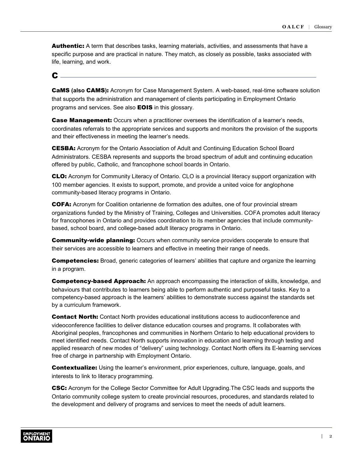**Authentic:** A term that describes tasks, learning materials, activities, and assessments that have a specific purpose and are practical in nature. They match, as closely as possible, tasks associated with life, learning, and work.

#### C

CaMS **(also** CAMS**)**: Acronym for Case Management System. A web-based, real-time software solution that supports the administration and management of clients participating in Employment Ontario programs and services. See also **EOIS** in this glossary.

**Case Management:** Occurs when a practitioner oversees the identification of a learner's needs, coordinates referrals to the appropriate services and supports and monitors the provision of the supports and their effectiveness in meeting the learner's needs.

CESBA: Acronym for the Ontario Association of Adult and Continuing Education School Board Administrators. CESBA represents and supports the broad spectrum of adult and continuing education offered by public, Catholic, and francophone school boards in Ontario.

CLO: Acronym for Community Literacy of Ontario. CLO is a provincial literacy support organization with 100 member agencies. It exists to support, promote, and provide a united voice for anglophone community-based literacy programs in Ontario.

COFA: Acronym for Coalition ontarienne de formation des adultes, one of four provincial stream organizations funded by the Ministry of Training, Colleges and Universities. COFA promotes adult literacy for francophones in Ontario and provides coordination to its member agencies that include communitybased, school board, and college-based adult literacy programs in Ontario.

**Community-wide planning:** Occurs when community service providers cooperate to ensure that their services are accessible to learners and effective in meeting their range of needs.

**Competencies:** Broad, generic categories of learners' abilities that capture and organize the learning in a program.

**Competency-based Approach:** An approach encompassing the interaction of skills, knowledge, and behaviours that contributes to learners being able to perform authentic and purposeful tasks. Key to a competency-based approach is the learners' abilities to demonstrate success against the standards set by a curriculum framework.

**Contact North:** Contact North provides educational institutions access to audioconference and videoconference facilities to deliver distance education courses and programs. It collaborates with Aboriginal peoples, francophones and communities in Northern Ontario to help educational providers to meet identified needs. Contact North supports innovation in education and learning through testing and applied research of new modes of "delivery" using technology. Contact North offers its E-learning services free of charge in partnership with Employment Ontario.

**Contextualize:** Using the learner's environment, prior experiences, culture, language, goals, and interests to link to literacy programming.

CSC: Acronym for the College Sector Committee for Adult Upgrading.The CSC leads and supports the Ontario community college system to create provincial resources, procedures, and standards related to the development and delivery of programs and services to meet the needs of adult learners.

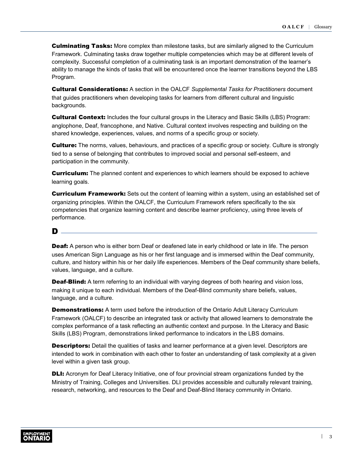**Culminating Tasks:** More complex than milestone tasks, but are similarly aligned to the Curriculum Framework. Culminating tasks draw together multiple competencies which may be at different levels of complexity. Successful completion of a culminating task is an important demonstration of the learner's ability to manage the kinds of tasks that will be encountered once the learner transitions beyond the LBS Program.

Cultural Considerations: A section in the OALCF *Supplemental Tasks for Practitioners* document that guides practitioners when developing tasks for learners from different cultural and linguistic backgrounds.

**Cultural Context:** Includes the four cultural groups in the Literacy and Basic Skills (LBS) Program: anglophone, Deaf, francophone, and Native. Cultural context involves respecting and building on the shared knowledge, experiences, values, and norms of a specific group or society.

**Culture:** The norms, values, behaviours, and practices of a specific group or society. Culture is strongly tied to a sense of belonging that contributes to improved social and personal self-esteem, and participation in the community.

**Curriculum:** The planned content and experiences to which learners should be exposed to achieve learning goals.

**Curriculum Framework:** Sets out the content of learning within a system, using an established set of organizing principles. Within the OALCF, the Curriculum Framework refers specifically to the six competencies that organize learning content and describe learner proficiency, using three levels of performance.

#### D

**Deaf:** A person who is either born Deaf or deafened late in early childhood or late in life. The person uses American Sign Language as his or her first language and is immersed within the Deaf community, culture, and history within his or her daily life experiences. Members of the Deaf community share beliefs, values, language, and a culture.

**Deaf-Blind:** A term referring to an individual with varying degrees of both hearing and vision loss, making it unique to each individual. Members of the Deaf-Blind community share beliefs, values, language, and a culture.

**Demonstrations:** A term used before the introduction of the Ontario Adult Literacy Curriculum Framework (OALCF) to describe an integrated task or activity that allowed learners to demonstrate the complex performance of a task reflecting an authentic context and purpose. In the Literacy and Basic Skills (LBS) Program, demonstrations linked performance to indicators in the LBS domains.

**Descriptors:** Detail the qualities of tasks and learner performance at a given level. Descriptors are intended to work in combination with each other to foster an understanding of task complexity at a given level within a given task group.

**DLI:** Acronym for Deaf Literacy Initiative, one of four provincial stream organizations funded by the Ministry of Training, Colleges and Universities. DLI provides accessible and culturally relevant training, research, networking, and resources to the Deaf and Deaf-Blind literacy community in Ontario.

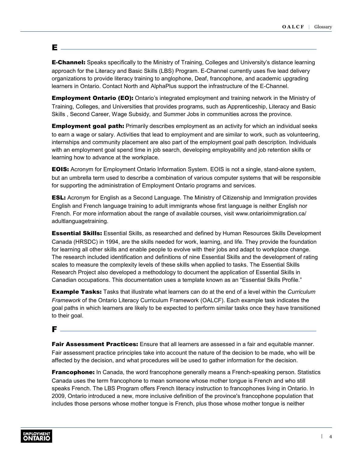### E

**E-Channel:** Speaks specifically to the Ministry of Training, Colleges and University's distance learning approach for the Literacy and Basic Skills (LBS) Program. E-Channel currently uses five lead delivery organizations to provide literacy training to anglophone, Deaf, francophone, and academic upgrading learners in Ontario. Contact North and AlphaPlus support the infrastructure of the E-Channel.

**Employment Ontario (EO):** Ontario's integrated employment and training network in the Ministry of Training, Colleges, and Universities that provides programs, such as Apprenticeship, Literacy and Basic Skills , Second Career, Wage Subsidy, and Summer Jobs in communities across the province.

**Employment goal path:** Primarily describes employment as an activity for which an individual seeks to earn a wage or salary. Activities that lead to employment and are similar to work, such as volunteering, internships and community placement are also part of the employment goal path description. Individuals with an employment goal spend time in job search, developing employability and job retention skills or learning how to advance at the workplace.

**EOIS:** Acronym for Employment Ontario Information System. EOIS is not a single, stand-alone system, but an umbrella term used to describe a combination of various computer systems that will be responsible for supporting the administration of Employment Ontario programs and services.

**ESL:** Acronym for English as a Second Language. The Ministry of Citizenship and Immigration provides English and French language training to adult immigrants whose first language is neither English nor French. For more information about the range of available courses, visit www.ontarioimmigration.ca/ adultlanguagetraining.

**Essential Skills:** Essential Skills, as researched and defined by Human Resources Skills Development Canada (HRSDC) in 1994, are the skills needed for work, learning, and life. They provide the foundation for learning all other skills and enable people to evolve with their jobs and adapt to workplace change. The research included identification and definitions of nine Essential Skills and the development of rating scales to measure the complexity levels of these skills when applied to tasks. The Essential Skills Research Project also developed a methodology to document the application of Essential Skills in Canadian occupations. This documentation uses a template known as an "Essential Skills Profile."

Example Tasks: Tasks that illustrate what learners can do at the end of a level within the *Curriculum Framework* of the Ontario Literacy Curriculum Framework (OALCF). Each example task indicates the goal paths in which learners are likely to be expected to perform similar tasks once they have transitioned to their goal.

#### F

**Fair Assessment Practices:** Ensure that all learners are assessed in a fair and equitable manner. Fair assessment practice principles take into account the nature of the decision to be made, who will be affected by the decision, and what procedures will be used to gather information for the decision.

**Francophone:** In Canada, the word francophone generally means a French-speaking person. Statistics Canada uses the term francophone to mean someone whose mother tongue is French and who still speaks French. The LBS Program offers French literacy instruction to francophones living in Ontario. In 2009, Ontario introduced a new, more inclusive definition of the province's francophone population that includes those persons whose mother tongue is French, plus those whose mother tongue is neither

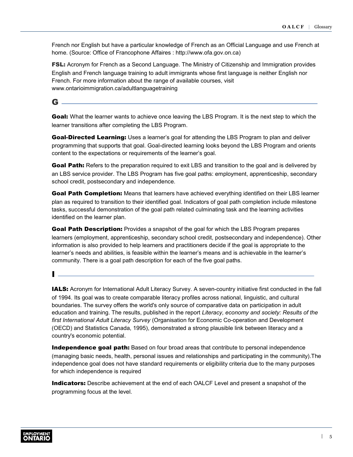French nor English but have a particular knowledge of French as an Official Language and use French at home. (Source: Office of Francophone Affaires : <http://www.ofa.gov.on.ca>)

**FSL:** Acronym for French as a Second Language. The Ministry of Citizenship and Immigration provides English and French language training to adult immigrants whose first language is neither English nor French. For more information about the range of available courses, visit [www.ontarioimmigration.ca/adultlanguagetraining](http://www.ontarioimmigration.ca/en/learn/OI_LEARN_IMPROVING.html)

 $\mathbf G$   $\_$ 

**Goal:** What the learner wants to achieve once leaving the LBS Program. It is the next step to which the learner transitions after completing the LBS Program.

Goal-Directed Learning: Uses a learner's goal for attending the LBS Program to plan and deliver programming that supports that goal. Goal-directed learning looks beyond the LBS Program and orients content to the expectations or requirements of the learner's goal.

**Goal Path:** Refers to the preparation required to exit LBS and transition to the goal and is delivered by an LBS service provider. The LBS Program has five goal paths: employment, apprenticeship, secondary school credit, postsecondary and independence.

Goal Path Completion: Means that learners have achieved everything identified on their LBS learner plan as required to transition to their identified goal. Indicators of goal path completion include milestone tasks, successful demonstration of the goal path related culminating task and the learning activities identified on the learner plan.

**Goal Path Description:** Provides a snapshot of the goal for which the LBS Program prepares learners (employment, apprenticeship, secondary school credit, postsecondary and independence). Other information is also provided to help learners and practitioners decide if the goal is appropriate to the learner's needs and abilities, is feasible within the learner's means and is achievable in the learner's community. There is a goal path description for each of the five goal paths.

 $\mathbf I$  .

IALS: Acronym for International Adult Literacy Survey. A seven-country initiative first conducted in the fall of 1994. Its goal was to create comparable literacy profiles across national, linguistic, and cultural boundaries. The survey offers the world's only source of comparative data on participation in adult education and training. The results, published in the report *Literacy, economy and society: Results of the first International Adult Literacy Survey* (Organisation for Economic Co-operation and Development (OECD) and Statistics Canada, 1995), demonstrated a strong plausible link between literacy and a country's economic potential.

**Independence goal path:** Based on four broad areas that contribute to personal independence (managing basic needs, health, personal issues and relationships and participating in the community).The independence goal does not have standard requirements or eligibility criteria due to the many purposes for which independence is required

**Indicators:** Describe achievement at the end of each OALCF Level and present a snapshot of the programming focus at the level.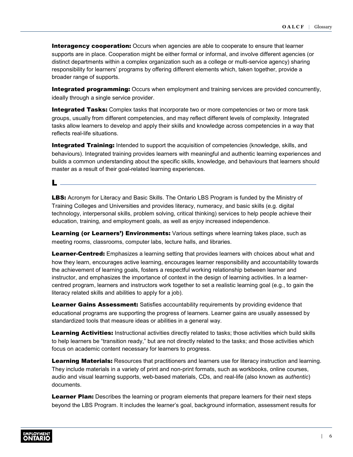**Interagency cooperation:** Occurs when agencies are able to cooperate to ensure that learner supports are in place. Cooperation might be either formal or informal, and involve different agencies (or distinct departments within a complex organization such as a college or multi-service agency) sharing responsibility for learners' programs by offering different elements which, taken together, provide a broader range of supports.

**Integrated programming:** Occurs when employment and training services are provided concurrently, ideally through a single service provider.

**Integrated Tasks:** Complex tasks that incorporate two or more competencies or two or more task groups, usually from different competencies, and may reflect different levels of complexity. Integrated tasks allow learners to develop and apply their skills and knowledge across competencies in a way that reflects real-life situations.

**Integrated Training:** Intended to support the acquisition of competencies (knowledge, skills, and behaviours). Integrated training provides learners with meaningful and authentic learning experiences and builds a common understanding about the specific skills, knowledge, and behaviours that learners should master as a result of their goal-related learning experiences.

L

**LBS:** Acronym for Literacy and Basic Skills. The Ontario LBS Program is funded by the Ministry of Training Colleges and Universities and provides literacy, numeracy, and basic skills (e.g. digital technology, interpersonal skills, problem solving, critical thinking) services to help people achieve their education, training, and employment goals, as well as enjoy increased independence.

Learning (or Learners') Environments: Various settings where learning takes place, such as meeting rooms, classrooms, computer labs, lecture halls, and libraries.

Learner-Centred: Emphasizes a learning setting that provides learners with choices about what and how they learn, encourages active learning, encourages learner responsibility and accountability towards the achievement of learning goals, fosters a respectful working relationship between learner and instructor, and emphasizes the importance of context in the design of learning activities. In a learnercentred program, learners and instructors work together to set a realistic learning goal (e.g., to gain the literacy related skills and abilities to apply for a job).

Learner Gains Assessment: Satisfies accountability requirements by providing evidence that educational programs are supporting the progress of learners. Learner gains are usually assessed by standardized tools that measure ideas or abilities in a general way.

Learning Activities: Instructional activities directly related to tasks; those activities which build skills to help learners be "transition ready," but are not directly related to the tasks; and those activities which focus on academic content necessary for learners to progress.

Learning Materials: Resources that practitioners and learners use for literacy instruction and learning. They include materials in a variety of print and non-print formats, such as workbooks, online courses, audio and visual learning supports, web-based materials, CDs, and real-life (also known as *authentic*) documents.

Learner Plan: Describes the learning or program elements that prepare learners for their next steps beyond the LBS Program. It includes the learner's goal, background information, assessment results for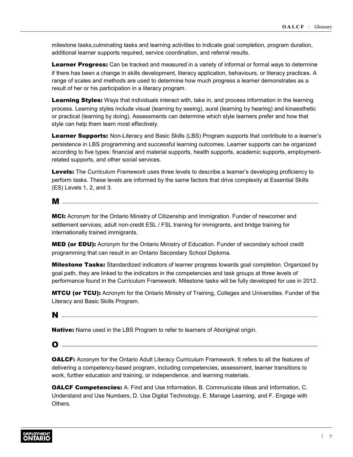milestone tasks,culminating tasks and learning activities to indicate goal completion, program duration, additional learner supports required, service coordination, and referral results.

**Learner Progress:** Can be tracked and measured in a variety of informal or formal ways to determine if there has been a change in skills development, literacy application, behaviours, or literacy practices. A range of scales and methods are used to determine how much progress a learner demonstrates as a result of her or his participation in a literacy program.

**Learning Styles:** Ways that individuals interact with, take in, and process information in the learning process. Learning styles include visual (learning by seeing), aural (learning by hearing) and kinaesthetic or practical (learning by doing). Assessments can determine which style learners prefer and how that style can help them learn most effectively.

Learner Supports: Non-Literacy and Basic Skills (LBS) Program supports that contribute to a learner's persistence in LBS programming and successful learning outcomes. Learner supports can be organized according to five types: financial and material supports, health supports, academic supports, employmentrelated supports, and other social services.

Levels: The *Curriculum Framework* uses three levels to describe a learner's developing proficiency to perform tasks. These levels are informed by the same factors that drive complexity at Essential Skills (ES) Levels 1, 2, and 3.

#### M

MCI: Acronym for the Ontario Ministry of Citizenship and Immigration. Funder of newcomer and settlement services, adult non-credit ESL / FSL training for immigrants, and bridge training for internationally trained immigrants.

MED (or EDU): Acronym for the Ontario Ministry of Education. Funder of secondary school credit programming that can result in an Ontario Secondary School Diploma.

**Milestone Tasks:** Standardized indicators of learner progress towards goal completion. Organized by goal path, they are linked to the indicators in the competencies and task groups at three levels of performance found in the Curriculum Framework. Milestone tasks will be fully developed for use in 2012.

**MTCU (or TCU):** Acronym for the Ontario Ministry of Training, Colleges and Universities. Funder of the Literacy and Basic Skills Program.

#### N

Native: Name used in the LBS Program to refer to learners of Aboriginal origin.

 $\bullet$   $\_$ 

**OALCF:** Acronym for the Ontario Adult Literacy Curriculum Framework. It refers to all the features of delivering a competency-based program, including competencies, assessment, learner transitions to work, further education and training, or independence, and learning materials.

**OALCF Competencies:** A. Find and Use Information, B. Communicate Ideas and Information, C. Understand and Use Numbers, D. Use Digital Technology, E. Manage Learning, and F. Engage with Others.

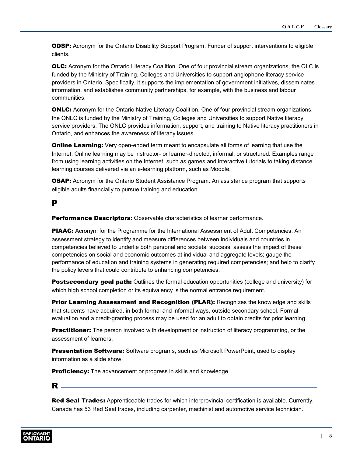**ODSP:** Acronym for the Ontario Disability Support Program. Funder of support interventions to eligible clients.

**OLC:** Acronym for the Ontario Literacy Coalition. One of four provincial stream organizations, the OLC is funded by the Ministry of Training, Colleges and Universities to support anglophone literacy service providers in Ontario. Specifically, it supports the implementation of government initiatives, disseminates information, and establishes community partnerships, for example, with the business and labour communities.

**ONLC:** Acronym for the Ontario Native Literacy Coalition. One of four provincial stream organizations, the ONLC is funded by the Ministry of Training, Colleges and Universities to support Native literacy service providers. The ONLC provides information, support, and training to Native literacy practitioners in Ontario, and enhances the awareness of literacy issues.

**Online Learning:** Very open-ended term meant to encapsulate all forms of learning that use the Internet. Online learning may be instructor- or learner-directed, informal, or structured. Examples range from using learning activities on the Internet, such as games and interactive tutorials to taking distance learning courses delivered via an e-learning platform, such as Moodle.

**OSAP:** Acronym for the Ontario Student Assistance Program. An assistance program that supports eligible adults financially to pursue training and education.

#### P

**Performance Descriptors:** Observable characteristics of learner performance.

PIAAC: Acronym for the Programme for the International Assessment of Adult Competencies. An assessment strategy to identify and measure differences between individuals and countries in competencies believed to underlie both personal and societal success; assess the impact of these competencies on social and economic outcomes at individual and aggregate levels; gauge the performance of education and training systems in generating required competencies; and help to clarify the policy levers that could contribute to enhancing competencies.

Postsecondary goal path: Outlines the formal education opportunities (college and university) for which high school completion or its equivalency is the normal entrance requirement.

**Prior Learning Assessment and Recognition (PLAR):** Recognizes the knowledge and skills that students have acquired, in both formal and informal ways, outside secondary school. Formal evaluation and a credit-granting process may be used for an adult to obtain credits for prior learning.

**Practitioner:** The person involved with development or instruction of literacy programming, or the assessment of learners.

**Presentation Software:** Software programs, such as Microsoft PowerPoint, used to display information as a slide show.

**Proficiency:** The advancement or progress in skills and knowledge.

#### R

Red Seal Trades: Apprenticeable trades for which interprovincial certification is available. Currently, Canada has 53 Red Seal trades, including carpenter, machinist and automotive service technician.

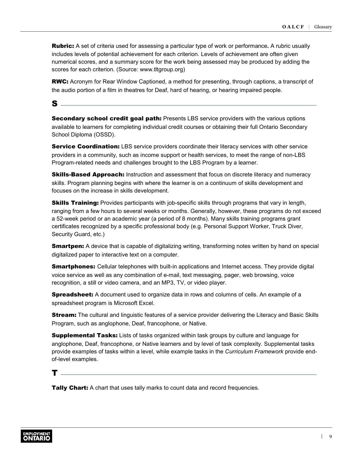Rubric: A set of criteria used for assessing a particular type of work or performance**.** A rubric usually includes levels of potential achievement for each criterion. Levels of achievement are often given numerical scores, and a summary score for the work being assessed may be produced by adding the scores for each criterion. (Source: [www.tltgroup.org\)](http://www.tltgroup.org)

RWC: Acronym for Rear Window Captioned, a method for presenting, through captions, a transcript of the audio portion of a film in theatres for Deaf, hard of hearing, or hearing impaired people.

#### $\mathbf{s}$   $-$

**Secondary school credit goal path:** Presents LBS service providers with the various options available to learners for completing individual credit courses or obtaining their full Ontario Secondary School Diploma (OSSD).

**Service Coordination:** LBS service providers coordinate their literacy services with other service providers in a community, such as income support or health services, to meet the range of non-LBS Program-related needs and challenges brought to the LBS Program by a learner.

**Skills-Based Approach:** Instruction and assessment that focus on discrete literacy and numeracy skills. Program planning begins with where the learner is on a continuum of skills development and focuses on the increase in skills development.

**Skills Training:** Provides participants with job-specific skills through programs that vary in length, ranging from a few hours to several weeks or months. Generally, however, these programs do not exceed a 52-week period or an academic year (a period of 8 months). Many skills training programs grant certificates recognized by a specific professional body (e.g. Personal Support Worker, Truck Diver, Security Guard, etc.)

**Smartpen:** A device that is capable of digitalizing writing, transforming notes written by hand on special digitalized paper to interactive text on a computer.

**Smartphones:** Cellular telephones with built-in applications and Internet access. They provide digital voice service as well as any combination of e-mail, text messaging, pager, web browsing, voice recognition, a still or video camera, and an MP3, TV, or video player.

**Spreadsheet:** A document used to organize data in rows and columns of cells. An example of a spreadsheet program is Microsoft Excel.

**Stream:** The cultural and linguistic features of a service provider delivering the Literacy and Basic Skills Program, such as anglophone, Deaf, francophone, or Native.

**Supplemental Tasks:** Lists of tasks organized within task groups by culture and language for anglophone, Deaf, francophone, or Native learners and by level of task complexity. Supplemental tasks provide examples of tasks within a level, while example tasks in the *Curriculum Framework* provide endof-level examples.

T

**Tally Chart:** A chart that uses tally marks to count data and record frequencies.